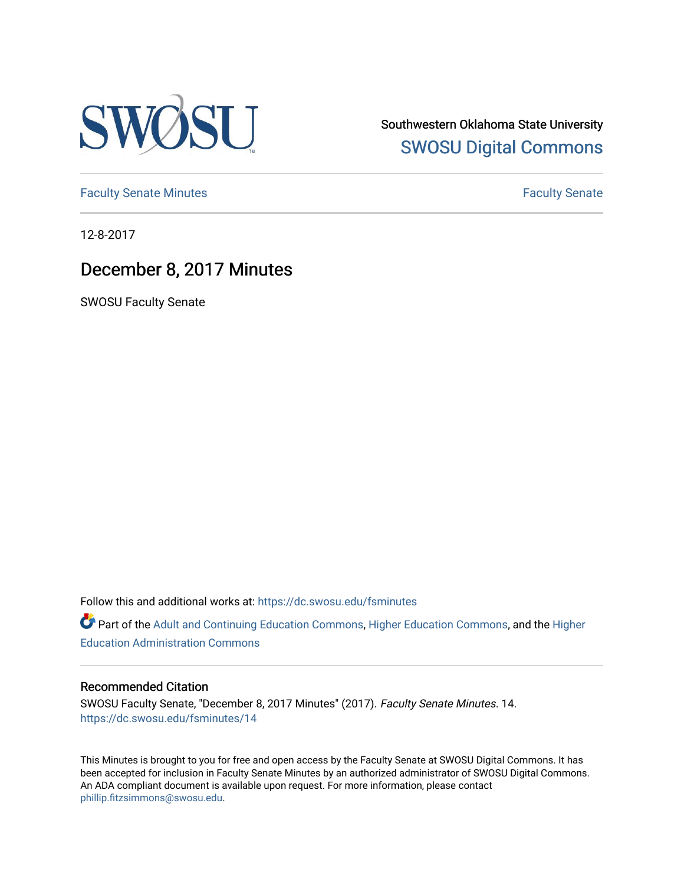

Southwestern Oklahoma State University [SWOSU Digital Commons](https://dc.swosu.edu/) 

[Faculty Senate Minutes](https://dc.swosu.edu/fsminutes) **Faculty** Senate Minutes

12-8-2017

## December 8, 2017 Minutes

SWOSU Faculty Senate

Follow this and additional works at: [https://dc.swosu.edu/fsminutes](https://dc.swosu.edu/fsminutes?utm_source=dc.swosu.edu%2Ffsminutes%2F14&utm_medium=PDF&utm_campaign=PDFCoverPages) 

Part of the [Adult and Continuing Education Commons,](http://network.bepress.com/hgg/discipline/1375?utm_source=dc.swosu.edu%2Ffsminutes%2F14&utm_medium=PDF&utm_campaign=PDFCoverPages) [Higher Education Commons,](http://network.bepress.com/hgg/discipline/1245?utm_source=dc.swosu.edu%2Ffsminutes%2F14&utm_medium=PDF&utm_campaign=PDFCoverPages) and the [Higher](http://network.bepress.com/hgg/discipline/791?utm_source=dc.swosu.edu%2Ffsminutes%2F14&utm_medium=PDF&utm_campaign=PDFCoverPages) [Education Administration Commons](http://network.bepress.com/hgg/discipline/791?utm_source=dc.swosu.edu%2Ffsminutes%2F14&utm_medium=PDF&utm_campaign=PDFCoverPages) 

#### Recommended Citation

SWOSU Faculty Senate, "December 8, 2017 Minutes" (2017). Faculty Senate Minutes. 14. [https://dc.swosu.edu/fsminutes/14](https://dc.swosu.edu/fsminutes/14?utm_source=dc.swosu.edu%2Ffsminutes%2F14&utm_medium=PDF&utm_campaign=PDFCoverPages) 

This Minutes is brought to you for free and open access by the Faculty Senate at SWOSU Digital Commons. It has been accepted for inclusion in Faculty Senate Minutes by an authorized administrator of SWOSU Digital Commons. An ADA compliant document is available upon request. For more information, please contact [phillip.fitzsimmons@swosu.edu](mailto:phillip.fitzsimmons@swosu.edu).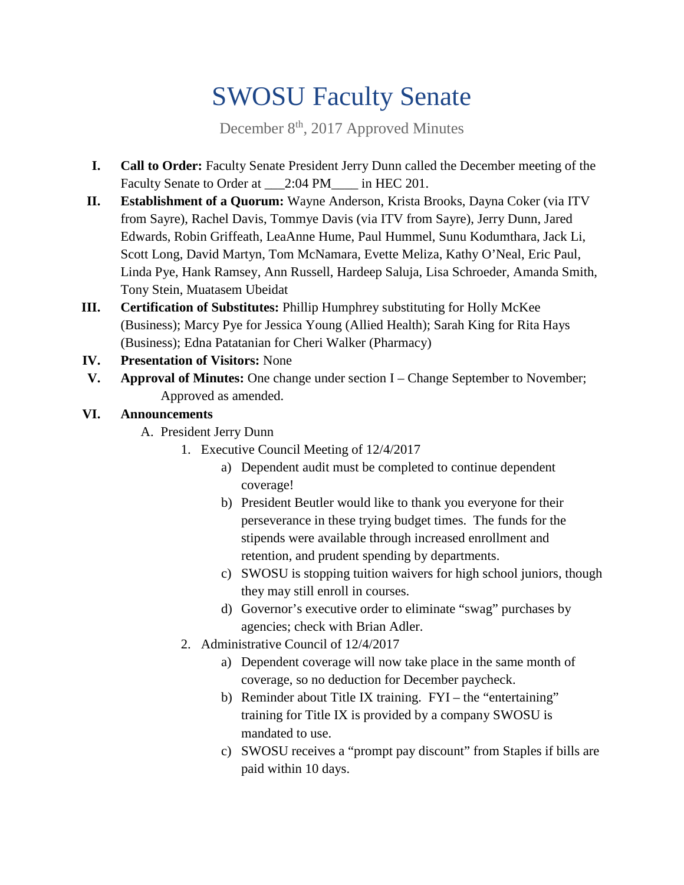# SWOSU Faculty Senate

December 8<sup>th</sup>, 2017 Approved Minutes

- **I. Call to Order:** Faculty Senate President Jerry Dunn called the December meeting of the Faculty Senate to Order at \_\_\_2:04 PM\_\_\_\_ in HEC 201.
- **II. Establishment of a Quorum:** Wayne Anderson, Krista Brooks, Dayna Coker (via ITV from Sayre), Rachel Davis, Tommye Davis (via ITV from Sayre), Jerry Dunn, Jared Edwards, Robin Griffeath, LeaAnne Hume, Paul Hummel, Sunu Kodumthara, Jack Li, Scott Long, David Martyn, Tom McNamara, Evette Meliza, Kathy O'Neal, Eric Paul, Linda Pye, Hank Ramsey, Ann Russell, Hardeep Saluja, Lisa Schroeder, Amanda Smith, Tony Stein, Muatasem Ubeidat
- **III. Certification of Substitutes:** Phillip Humphrey substituting for Holly McKee (Business); Marcy Pye for Jessica Young (Allied Health); Sarah King for Rita Hays (Business); Edna Patatanian for Cheri Walker (Pharmacy)
- **IV. Presentation of Visitors:** None
- **V. Approval of Minutes:** One change under section I Change September to November; Approved as amended.

### **VI. Announcements**

- A. President Jerry Dunn
	- 1. Executive Council Meeting of 12/4/2017
		- a) Dependent audit must be completed to continue dependent coverage!
		- b) President Beutler would like to thank you everyone for their perseverance in these trying budget times. The funds for the stipends were available through increased enrollment and retention, and prudent spending by departments.
		- c) SWOSU is stopping tuition waivers for high school juniors, though they may still enroll in courses.
		- d) Governor's executive order to eliminate "swag" purchases by agencies; check with Brian Adler.
	- 2. Administrative Council of 12/4/2017
		- a) Dependent coverage will now take place in the same month of coverage, so no deduction for December paycheck.
		- b) Reminder about Title IX training. FYI the "entertaining" training for Title IX is provided by a company SWOSU is mandated to use.
		- c) SWOSU receives a "prompt pay discount" from Staples if bills are paid within 10 days.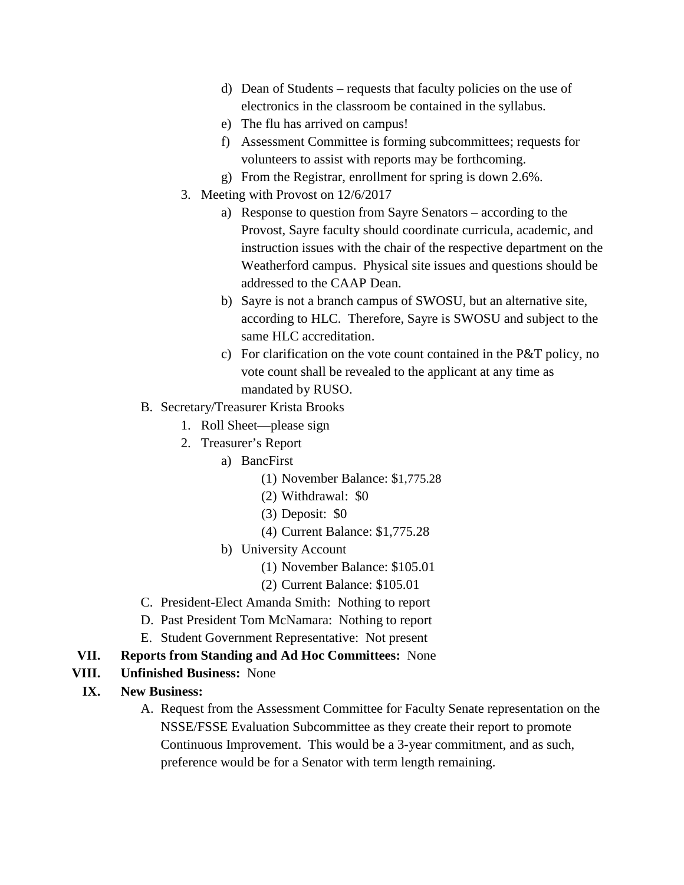- d) Dean of Students requests that faculty policies on the use of electronics in the classroom be contained in the syllabus.
- e) The flu has arrived on campus!
- f) Assessment Committee is forming subcommittees; requests for volunteers to assist with reports may be forthcoming.
- g) From the Registrar, enrollment for spring is down 2.6%.
- 3. Meeting with Provost on 12/6/2017
	- a) Response to question from Sayre Senators according to the Provost, Sayre faculty should coordinate curricula, academic, and instruction issues with the chair of the respective department on the Weatherford campus. Physical site issues and questions should be addressed to the CAAP Dean.
	- b) Sayre is not a branch campus of SWOSU, but an alternative site, according to HLC. Therefore, Sayre is SWOSU and subject to the same HLC accreditation.
	- c) For clarification on the vote count contained in the P&T policy, no vote count shall be revealed to the applicant at any time as mandated by RUSO.
- B. Secretary/Treasurer Krista Brooks
	- 1. Roll Sheet—please sign
	- 2. Treasurer's Report
		- a) BancFirst
			- (1) November Balance: \$1,775.28
			- (2) Withdrawal: \$0
			- (3) Deposit: \$0
			- (4) Current Balance: \$1,775.28
		- b) University Account
			- (1) November Balance: \$105.01
			- (2) Current Balance: \$105.01
- C. President-Elect Amanda Smith: Nothing to report
- D. Past President Tom McNamara: Nothing to report
- E. Student Government Representative: Not present
- **VII. Reports from Standing and Ad Hoc Committees:** None
- **VIII. Unfinished Business:** None
- **IX. New Business:** 
	- A. Request from the Assessment Committee for Faculty Senate representation on the NSSE/FSSE Evaluation Subcommittee as they create their report to promote Continuous Improvement. This would be a 3-year commitment, and as such, preference would be for a Senator with term length remaining.